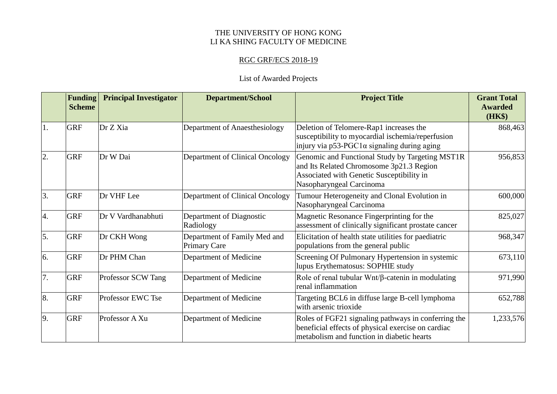## THE UNIVERSITY OF HONG KONG LI KA SHING FACULTY OF MEDICINE

## RGC GRF/ECS 2018-19

## List of Awarded Projects

|                  | <b>Funding</b><br><b>Scheme</b> | <b>Principal Investigator</b> | <b>Department/School</b>                            | <b>Project Title</b>                                                                                                                                                 | <b>Grant Total</b><br><b>Awarded</b><br>(HK\$) |
|------------------|---------------------------------|-------------------------------|-----------------------------------------------------|----------------------------------------------------------------------------------------------------------------------------------------------------------------------|------------------------------------------------|
| 1.               | <b>GRF</b>                      | Dr Z Xia                      | Department of Anaesthesiology                       | Deletion of Telomere-Rap1 increases the<br>susceptibility to myocardial ischemia/reperfusion<br>injury via $p53-PGC1\alpha$ signaling during aging                   | 868,463                                        |
| 2.               | <b>GRF</b>                      | Dr W Dai                      | Department of Clinical Oncology                     | Genomic and Functional Study by Targeting MST1R<br>and Its Related Chromosome 3p21.3 Region<br>Associated with Genetic Susceptibility in<br>Nasopharyngeal Carcinoma | 956,853                                        |
| $\overline{3}$ . | <b>GRF</b>                      | Dr VHF Lee                    | Department of Clinical Oncology                     | Tumour Heterogeneity and Clonal Evolution in<br>Nasopharyngeal Carcinoma                                                                                             | 600,000                                        |
| 4.               | <b>GRF</b>                      | Dr V Vardhanabhuti            | Department of Diagnostic<br>Radiology               | Magnetic Resonance Fingerprinting for the<br>assessment of clinically significant prostate cancer                                                                    | 825,027                                        |
| 5.               | <b>GRF</b>                      | Dr CKH Wong                   | Department of Family Med and<br><b>Primary Care</b> | Elicitation of health state utilities for paediatric<br>populations from the general public                                                                          | 968,347                                        |
| 6.               | <b>GRF</b>                      | Dr PHM Chan                   | Department of Medicine                              | Screening Of Pulmonary Hypertension in systemic<br>lupus Erythematosus: SOPHIE study                                                                                 | 673,110                                        |
| 7.               | <b>GRF</b>                      | Professor SCW Tang            | Department of Medicine                              | Role of renal tubular $Wnt/\beta$ -catenin in modulating<br>renal inflammation                                                                                       | 971,990                                        |
| 8.               | <b>GRF</b>                      | Professor EWC Tse             | Department of Medicine                              | Targeting BCL6 in diffuse large B-cell lymphoma<br>with arsenic trioxide                                                                                             | 652,788                                        |
| 9.               | <b>GRF</b>                      | Professor A Xu                | Department of Medicine                              | Roles of FGF21 signaling pathways in conferring the<br>beneficial effects of physical exercise on cardiac<br>metabolism and function in diabetic hearts              | 1,233,576                                      |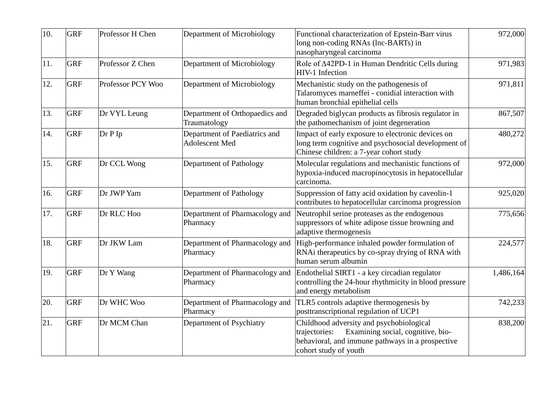| 10. | <b>GRF</b> | Professor H Chen  | Department of Microbiology                      | Functional characterization of Epstein-Barr virus<br>long non-coding RNAs (lnc-BARTs) in<br>nasopharyngeal carcinoma                                                        | 972,000   |
|-----|------------|-------------------|-------------------------------------------------|-----------------------------------------------------------------------------------------------------------------------------------------------------------------------------|-----------|
| 11. | <b>GRF</b> | Professor Z Chen  | Department of Microbiology                      | Role of ∆42PD-1 in Human Dendritic Cells during<br>HIV-1 Infection                                                                                                          | 971,983   |
| 12. | <b>GRF</b> | Professor PCY Woo | Department of Microbiology                      | Mechanistic study on the pathogenesis of<br>Talaromyces marneffei - conidial interaction with<br>human bronchial epithelial cells                                           | 971,811   |
| 13. | <b>GRF</b> | Dr VYL Leung      | Department of Orthopaedics and<br>Traumatology  | Degraded biglycan products as fibrosis regulator in<br>the pathomechanism of joint degeneration                                                                             | 867,507   |
| 14. | <b>GRF</b> | Dr P Ip           | Department of Paediatrics and<br>Adolescent Med | Impact of early exposure to electronic devices on<br>long term cognitive and psychosocial development of<br>Chinese children: a 7-year cohort study                         | 480,272   |
| 15. | <b>GRF</b> | Dr CCL Wong       | Department of Pathology                         | Molecular regulations and mechanistic functions of<br>hypoxia-induced macropinocytosis in hepatocellular<br>carcinoma.                                                      | 972,000   |
| 16. | <b>GRF</b> | Dr JWP Yam        | Department of Pathology                         | Suppression of fatty acid oxidation by caveolin-1<br>contributes to hepatocellular carcinoma progression                                                                    | 925,020   |
| 17. | <b>GRF</b> | Dr RLC Hoo        | Department of Pharmacology and<br>Pharmacy      | Neutrophil serine proteases as the endogenous<br>suppressors of white adipose tissue browning and<br>adaptive thermogenesis                                                 | 775,656   |
| 18. | <b>GRF</b> | Dr JKW Lam        | Department of Pharmacology and<br>Pharmacy      | High-performance inhaled powder formulation of<br>RNAi therapeutics by co-spray drying of RNA with<br>human serum albumin                                                   | 224,577   |
| 19. | <b>GRF</b> | Dr Y Wang         | Department of Pharmacology and<br>Pharmacy      | Endothelial SIRT1 - a key circadian regulator<br>controlling the 24-hour rhythmicity in blood pressure<br>and energy metabolism                                             | 1,486,164 |
| 20. | <b>GRF</b> | Dr WHC Woo        | Department of Pharmacology and<br>Pharmacy      | TLR5 controls adaptive thermogenesis by<br>posttranscriptional regulation of UCP1                                                                                           | 742,233   |
| 21. | <b>GRF</b> | Dr MCM Chan       | Department of Psychiatry                        | Childhood adversity and psychobiological<br>Examining social, cognitive, bio-<br>trajectories:<br>behavioral, and immune pathways in a prospective<br>cohort study of youth | 838,200   |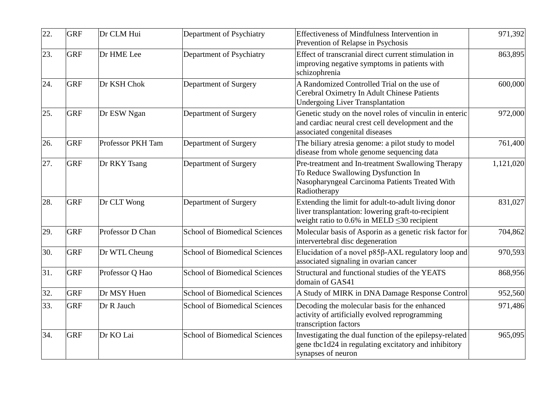| 22. | <b>GRF</b> | Dr CLM Hui        | Department of Psychiatry             | <b>Effectiveness of Mindfulness Intervention in</b><br>Prevention of Relapse in Psychosis                                                                     | 971,392   |
|-----|------------|-------------------|--------------------------------------|---------------------------------------------------------------------------------------------------------------------------------------------------------------|-----------|
| 23. | <b>GRF</b> | Dr HME Lee        | Department of Psychiatry             | Effect of transcranial direct current stimulation in<br>improving negative symptoms in patients with<br>schizophrenia                                         | 863,895   |
| 24. | <b>GRF</b> | Dr KSH Chok       | Department of Surgery                | A Randomized Controlled Trial on the use of<br>Cerebral Oximetry In Adult Chinese Patients<br><b>Undergoing Liver Transplantation</b>                         | 600,000   |
| 25. | <b>GRF</b> | Dr ESW Ngan       | Department of Surgery                | Genetic study on the novel roles of vinculin in enteric<br>and cardiac neural crest cell development and the<br>associated congenital diseases                | 972,000   |
| 26. | <b>GRF</b> | Professor PKH Tam | Department of Surgery                | The biliary atresia genome: a pilot study to model<br>disease from whole genome sequencing data                                                               | 761,400   |
| 27. | <b>GRF</b> | Dr RKY Tsang      | Department of Surgery                | Pre-treatment and In-treatment Swallowing Therapy<br>To Reduce Swallowing Dysfunction In<br>Nasopharyngeal Carcinoma Patients Treated With<br>Radiotherapy    | 1,121,020 |
| 28. | <b>GRF</b> | Dr CLT Wong       | Department of Surgery                | Extending the limit for adult-to-adult living donor<br>liver transplantation: lowering graft-to-recipient<br>weight ratio to 0.6% in MELD $\leq$ 30 recipient | 831,027   |
| 29. | <b>GRF</b> | Professor D Chan  | <b>School of Biomedical Sciences</b> | Molecular basis of Asporin as a genetic risk factor for<br>intervertebral disc degeneration                                                                   | 704,862   |
| 30. | <b>GRF</b> | Dr WTL Cheung     | <b>School of Biomedical Sciences</b> | Elucidation of a novel p85β-AXL regulatory loop and<br>associated signaling in ovarian cancer                                                                 | 970,593   |
| 31. | <b>GRF</b> | Professor Q Hao   | <b>School of Biomedical Sciences</b> | Structural and functional studies of the YEATS<br>domain of GAS41                                                                                             | 868,956   |
| 32. | <b>GRF</b> | Dr MSY Huen       | <b>School of Biomedical Sciences</b> | A Study of MIRK in DNA Damage Response Control                                                                                                                | 952,560   |
| 33. | <b>GRF</b> | Dr R Jauch        | <b>School of Biomedical Sciences</b> | Decoding the molecular basis for the enhanced<br>activity of artificially evolved reprogramming<br>transcription factors                                      | 971,486   |
| 34. | <b>GRF</b> | Dr KO Lai         | <b>School of Biomedical Sciences</b> | Investigating the dual function of the epilepsy-related<br>gene tbc1d24 in regulating excitatory and inhibitory<br>synapses of neuron                         | 965,095   |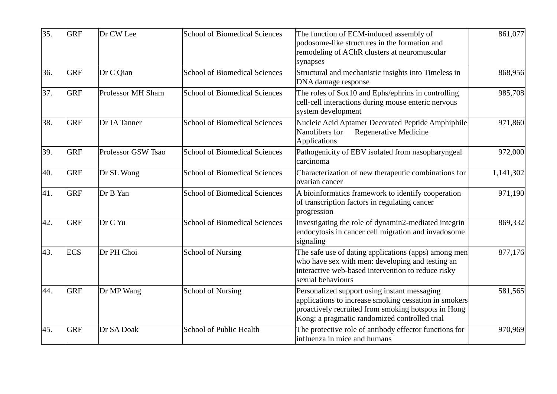| 35. | <b>GRF</b> | Dr CW Lee                | <b>School of Biomedical Sciences</b> | The function of ECM-induced assembly of<br>podosome-like structures in the formation and<br>remodeling of AChR clusters at neuromuscular<br>synapses                                                          | 861,077   |
|-----|------------|--------------------------|--------------------------------------|---------------------------------------------------------------------------------------------------------------------------------------------------------------------------------------------------------------|-----------|
| 36. | <b>GRF</b> | Dr C Qian                | <b>School of Biomedical Sciences</b> | Structural and mechanistic insights into Timeless in<br>DNA damage response                                                                                                                                   | 868,956   |
| 37. | <b>GRF</b> | <b>Professor MH Sham</b> | <b>School of Biomedical Sciences</b> | The roles of Sox10 and Ephs/ephrins in controlling<br>cell-cell interactions during mouse enteric nervous<br>system development                                                                               | 985,708   |
| 38. | <b>GRF</b> | Dr JA Tanner             | <b>School of Biomedical Sciences</b> | Nucleic Acid Aptamer Decorated Peptide Amphiphile<br>Nanofibers for<br>Regenerative Medicine<br>Applications                                                                                                  | 971,860   |
| 39. | <b>GRF</b> | Professor GSW Tsao       | <b>School of Biomedical Sciences</b> | Pathogenicity of EBV isolated from nasopharyngeal<br>carcinoma                                                                                                                                                | 972,000   |
| 40. | <b>GRF</b> | Dr SL Wong               | <b>School of Biomedical Sciences</b> | Characterization of new therapeutic combinations for<br>ovarian cancer                                                                                                                                        | 1,141,302 |
| 41. | <b>GRF</b> | Dr B Yan                 | <b>School of Biomedical Sciences</b> | A bioinformatics framework to identify cooperation<br>of transcription factors in regulating cancer<br>progression                                                                                            | 971,190   |
| 42. | <b>GRF</b> | Dr C Yu                  | <b>School of Biomedical Sciences</b> | Investigating the role of dynamin2-mediated integrin<br>endocytosis in cancer cell migration and invadosome<br>signaling                                                                                      | 869,332   |
| 43. | <b>ECS</b> | Dr PH Choi               | <b>School of Nursing</b>             | The safe use of dating applications (apps) among men<br>who have sex with men: developing and testing an<br>interactive web-based intervention to reduce risky<br>sexual behaviours                           | 877,176   |
| 44. | <b>GRF</b> | Dr MP Wang               | <b>School of Nursing</b>             | Personalized support using instant messaging<br>applications to increase smoking cessation in smokers<br>proactively recruited from smoking hotspots in Hong<br>Kong: a pragmatic randomized controlled trial | 581,565   |
| 45. | <b>GRF</b> | Dr SA Doak               | School of Public Health              | The protective role of antibody effector functions for<br>influenza in mice and humans                                                                                                                        | 970,969   |